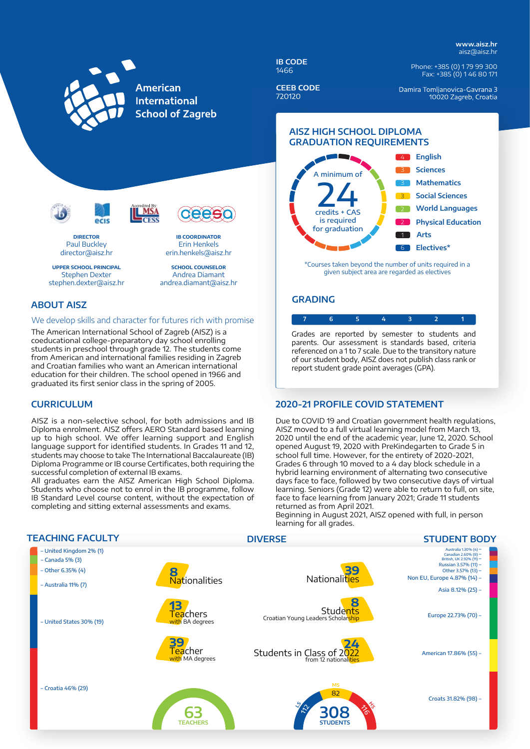**www.aisz.hr** aisz@aisz.hr

Phone: +385 (0) 1 79 99 300 Fax: +385 (0) 1 46 80 171

Damira Tomljanovica-Gavrana 3 10020 Zagreb, Croatia



# We develop skills and character for futures rich with promise

The American International School of Zagreb (AISZ) is a coeducational college-preparatory day school enrolling students in preschool through grade 12. The students come from American and international families residing in Zagreb and Croatian families who want an American international education for their children. The school opened in 1966 and graduated its first senior class in the spring of 2005.

#### **CURRICULUM**

AISZ is a non-selective school, for both admissions and IB Diploma enrolment. AISZ offers AERO Standard based learning up to high school. We offer learning support and English language support for identified students. In Grades 11 and 12, students may choose to take The International Baccalaureate (IB) Diploma Programme or IB course Certificates, both requiring the successful completion of external IB exams.

All graduates earn the AISZ American High School Diploma. Students who choose not to enrol in the IB programme, follow IB Standard Level course content, without the expectation of completing and sitting external assessments and exams.

#### Due to COVID 19 and Croatian government health regulations, AISZ moved to a full virtual learning model from March 13, 2020 until the end of the academic year, June 12, 2020. School opened August 19, 2020 with PreKindegarten to Grade 5 in

**2020-21 PROFILE COVID STATEMENT**

report student grade point averages (GPA).

school full time. However, for the entirety of 2020-2021, Grades 6 through 10 moved to a 4 day block schedule in a hybrid learning environment of alternating two consecutive days face to face, followed by two consecutive days of virtual learning. Seniors (Grade 12) were able to return to full, on site, face to face learning from January 2021; Grade 11 students returned as from April 2021.

Grades are reported by semester to students and parents. Our assessment is standards based, criteria referenced on a 1 to 7 scale. Due to the transitory nature of our student body, AISZ does not publish class rank or

**7 6 5 4 3 2 1**

Beginning in August 2021, AISZ opened with full, in person learning for all grades.

| , LAGHING I ACULTI                         |                                   | JIULINI DUL                                              |                                                                                                  |  |
|--------------------------------------------|-----------------------------------|----------------------------------------------------------|--------------------------------------------------------------------------------------------------|--|
| - United Kingdom 2% (1)<br>- Canada 5% (3) |                                   |                                                          | Australia 1.30% (4) -<br>Canadian 2.60% (8)-<br>British, UK 2.92% (11) -<br>Russian 3.57% (11) - |  |
| $-$ Other 6.35% (4)                        |                                   | 39                                                       | Other 3.57% (13) -                                                                               |  |
| - Australia 11% (7)                        | 8<br>Nationalities                | Nationalities                                            | Non EU, Europe 4.87% (14) -                                                                      |  |
|                                            |                                   |                                                          | Asia 8.12% (25) -                                                                                |  |
| - United States 30% (19)                   | 13<br>Teachers<br>with BA degrees | <b>Students</b><br>Croatian Young Leaders Scholarship    | Europe 22.73% (70) -                                                                             |  |
|                                            | 39<br>Teacher<br>with MA degrees  | 24<br>Students in Class of 2022<br>from 12 nationalities | American 17.86% (55) -                                                                           |  |
| - Croatia 46% (29)                         | <b>TEACHERS</b>                   | <b>MS</b><br>82<br>るい<br><b>STUDENTS</b>                 | Croats 31.82% (98) -                                                                             |  |
|                                            |                                   |                                                          |                                                                                                  |  |

## **TEACHING FACULTY DIVERSE STUDENT BODY**